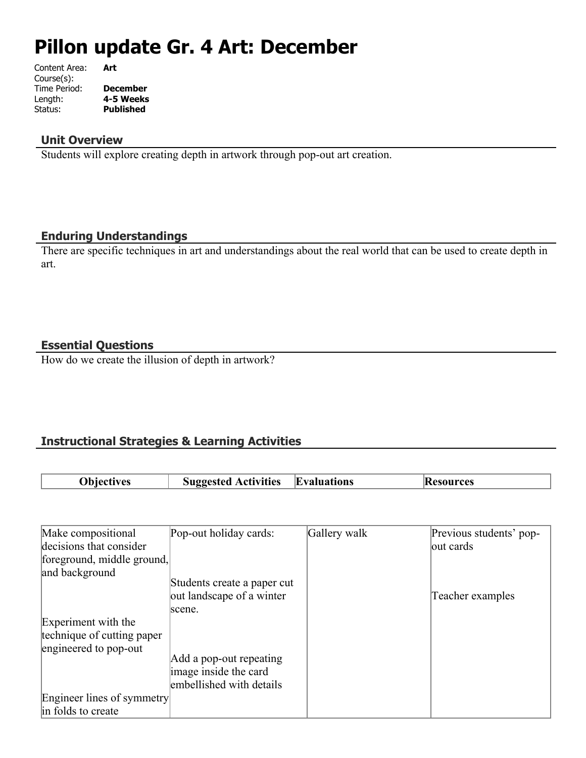# **Pillon update Gr. 4 Art: December**

| Content Area: | Art              |
|---------------|------------------|
| Course(s):    |                  |
| Time Period:  | <b>December</b>  |
| Length:       | 4-5 Weeks        |
| Status:       | <b>Published</b> |
|               |                  |

#### **Unit Overview**

Students will explore creating depth in artwork through pop-out art creation.

## **Enduring Understandings**

There are specific techniques in art and understandings about the real world that can be used to create depth in art.

## **Essential Questions**

How do we create the illusion of depth in artwork?

## **Instructional Strategies & Learning Activities**

| Obiectives | <b>Suggested Activities</b> | <b>Evaluations</b> | <b>Resources</b> |
|------------|-----------------------------|--------------------|------------------|

| Make compositional         | Pop-out holiday cards:      | Gallery walk | Previous students' pop- |
|----------------------------|-----------------------------|--------------|-------------------------|
| decisions that consider    |                             |              | out cards               |
| foreground, middle ground, |                             |              |                         |
| and background             |                             |              |                         |
|                            | Students create a paper cut |              |                         |
|                            | out landscape of a winter   |              | Teacher examples        |
|                            | scene.                      |              |                         |
| Experiment with the        |                             |              |                         |
| technique of cutting paper |                             |              |                         |
| engineered to pop-out      |                             |              |                         |
|                            | Add a pop-out repeating     |              |                         |
|                            | image inside the card       |              |                         |
|                            | embellished with details    |              |                         |
| Engineer lines of symmetry |                             |              |                         |
| in folds to create         |                             |              |                         |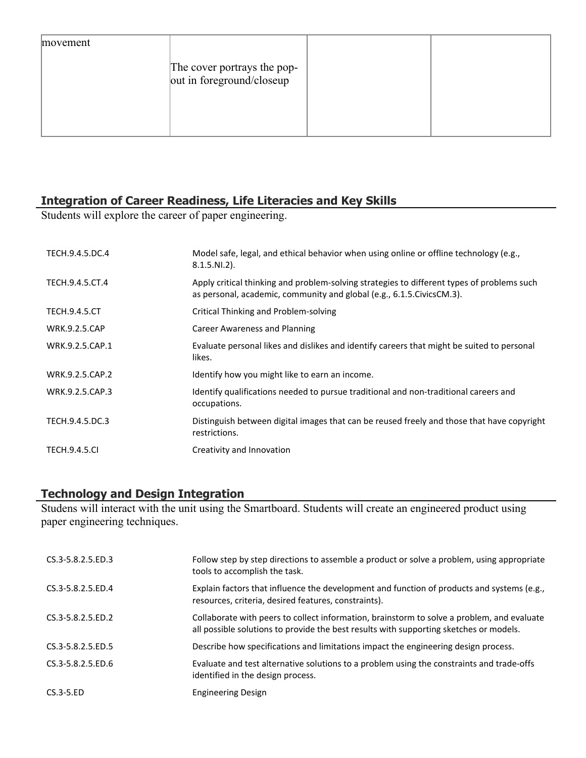| movement |                                                           |  |
|----------|-----------------------------------------------------------|--|
|          | The cover portrays the pop-<br> out in foreground/closeup |  |
|          |                                                           |  |

## **Integration of Career Readiness, Life Literacies and Key Skills**

Students will explore the career of paper engineering.

| TECH.9.4.5.DC.4      | Model safe, legal, and ethical behavior when using online or offline technology (e.g.,<br>$8.1.5.NI.2$ ).                                                             |
|----------------------|-----------------------------------------------------------------------------------------------------------------------------------------------------------------------|
| TECH.9.4.5.CT.4      | Apply critical thinking and problem-solving strategies to different types of problems such<br>as personal, academic, community and global (e.g., 6.1.5. Civics CM.3). |
| <b>TECH.9.4.5.CT</b> | Critical Thinking and Problem-solving                                                                                                                                 |
| <b>WRK.9.2.5.CAP</b> | Career Awareness and Planning                                                                                                                                         |
| WRK.9.2.5.CAP.1      | Evaluate personal likes and dislikes and identify careers that might be suited to personal<br>likes.                                                                  |
| WRK.9.2.5.CAP.2      | Identify how you might like to earn an income.                                                                                                                        |
| WRK.9.2.5.CAP.3      | Identify qualifications needed to pursue traditional and non-traditional careers and<br>occupations.                                                                  |
| TECH.9.4.5.DC.3      | Distinguish between digital images that can be reused freely and those that have copyright<br>restrictions.                                                           |
| <b>TECH.9.4.5.CI</b> | Creativity and Innovation                                                                                                                                             |

#### **Technology and Design Integration**

Studens will interact with the unit using the Smartboard. Students will create an engineered product using paper engineering techniques.

| CS.3-5.8.2.5.ED.3      | Follow step by step directions to assemble a product or solve a problem, using appropriate<br>tools to accomplish the task.                                                          |
|------------------------|--------------------------------------------------------------------------------------------------------------------------------------------------------------------------------------|
| CS.3-5.8.2.5.ED.4      | Explain factors that influence the development and function of products and systems (e.g.,<br>resources, criteria, desired features, constraints).                                   |
| CS.3-5.8.2.5.ED.2      | Collaborate with peers to collect information, brainstorm to solve a problem, and evaluate<br>all possible solutions to provide the best results with supporting sketches or models. |
| CS.3-5.8.2.5.ED.5      | Describe how specifications and limitations impact the engineering design process.                                                                                                   |
| $CS.3 - 5.8.2.5$ .ED.6 | Evaluate and test alternative solutions to a problem using the constraints and trade-offs<br>identified in the design process.                                                       |
| $CS.3-5.ED$            | <b>Engineering Design</b>                                                                                                                                                            |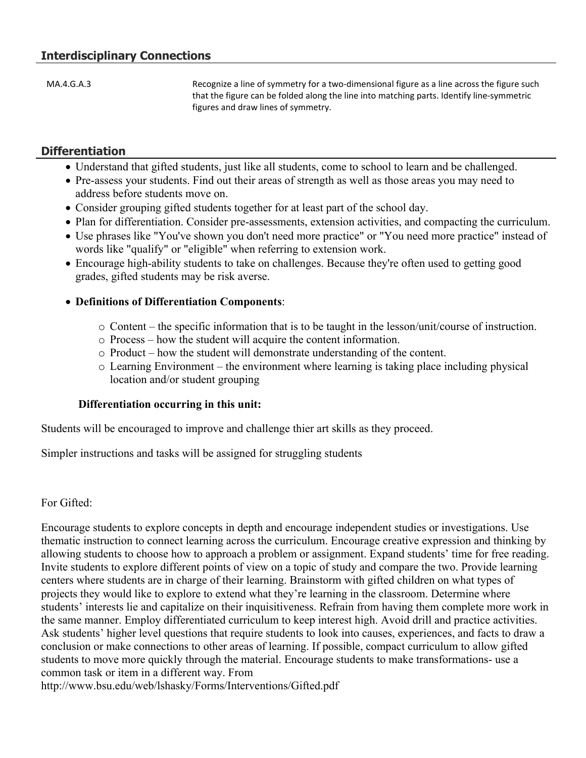MA.4.G.A.3 Recognize a line of symmetry for a two-dimensional figure as a line across the figure such that the figure can be folded along the line into matching parts. Identify line-symmetric figures and draw lines of symmetry.

## **Differentiation**

- Understand that gifted students, just like all students, come to school to learn and be challenged.
- Pre-assess your students. Find out their areas of strength as well as those areas you may need to address before students move on.
- Consider grouping gifted students together for at least part of the school day.
- Plan for differentiation. Consider pre-assessments, extension activities, and compacting the curriculum.
- Use phrases like "You've shown you don't need more practice" or "You need more practice" instead of words like "qualify" or "eligible" when referring to extension work.
- Encourage high-ability students to take on challenges. Because they're often used to getting good grades, gifted students may be risk averse.

## **Definitions of Differentiation Components**:

- o Content the specific information that is to be taught in the lesson/unit/course of instruction.
- o Process how the student will acquire the content information.
- o Product how the student will demonstrate understanding of the content.
- o Learning Environment the environment where learning is taking place including physical location and/or student grouping

#### **Differentiation occurring in this unit:**

Students will be encouraged to improve and challenge thier art skills as they proceed.

Simpler instructions and tasks will be assigned for struggling students

For Gifted:

Encourage students to explore concepts in depth and encourage independent studies or investigations. Use thematic instruction to connect learning across the curriculum. Encourage creative expression and thinking by allowing students to choose how to approach a problem or assignment. Expand students' time for free reading. Invite students to explore different points of view on a topic of study and compare the two. Provide learning centers where students are in charge of their learning. Brainstorm with gifted children on what types of projects they would like to explore to extend what they're learning in the classroom. Determine where students' interests lie and capitalize on their inquisitiveness. Refrain from having them complete more work in the same manner. Employ differentiated curriculum to keep interest high. Avoid drill and practice activities. Ask students' higher level questions that require students to look into causes, experiences, and facts to draw a conclusion or make connections to other areas of learning. If possible, compact curriculum to allow gifted students to move more quickly through the material. Encourage students to make transformations- use a common task or item in a different way. From

http://www.bsu.edu/web/lshasky/Forms/Interventions/Gifted.pdf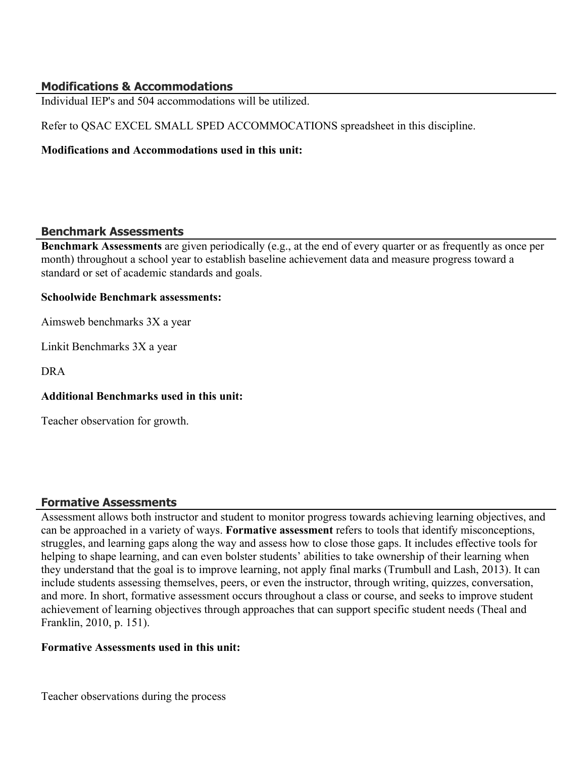## **Modifications & Accommodations**

Individual IEP's and 504 accommodations will be utilized.

Refer to QSAC EXCEL SMALL SPED ACCOMMOCATIONS spreadsheet in this discipline.

#### **Modifications and Accommodations used in this unit:**

#### **Benchmark Assessments**

**Benchmark Assessments** are given periodically (e.g., at the end of every quarter or as frequently as once per month) throughout a school year to establish baseline achievement data and measure progress toward a standard or set of academic standards and goals.

#### **Schoolwide Benchmark assessments:**

Aimsweb benchmarks 3X a year

Linkit Benchmarks 3X a year

DRA

#### **Additional Benchmarks used in this unit:**

Teacher observation for growth.

#### **Formative Assessments**

Assessment allows both instructor and student to monitor progress towards achieving learning objectives, and can be approached in a variety of ways. **Formative assessment** refers to tools that identify misconceptions, struggles, and learning gaps along the way and assess how to close those gaps. It includes effective tools for helping to shape learning, and can even bolster students' abilities to take ownership of their learning when they understand that the goal is to improve learning, not apply final marks (Trumbull and Lash, 2013). It can include students assessing themselves, peers, or even the instructor, through writing, quizzes, conversation, and more. In short, formative assessment occurs throughout a class or course, and seeks to improve student achievement of learning objectives through approaches that can support specific student needs (Theal and Franklin, 2010, p. 151).

#### **Formative Assessments used in this unit:**

Teacher observations during the process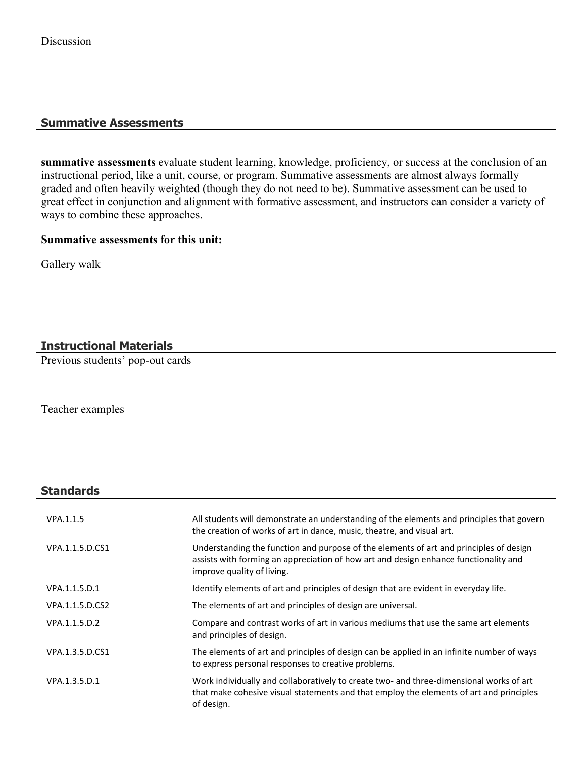## **Summative Assessments**

**summative assessments** evaluate student learning, knowledge, proficiency, or success at the conclusion of an instructional period, like a unit, course, or program. Summative assessments are almost always formally graded and often heavily weighted (though they do not need to be). Summative assessment can be used to great effect in conjunction and alignment with formative assessment, and instructors can consider a variety of ways to combine these approaches.

#### **Summative assessments for this unit:**

Gallery walk

## **Instructional Materials**

Previous students' pop-out cards

Teacher examples

#### **Standards**

| VPA.1.1.5       | All students will demonstrate an understanding of the elements and principles that govern<br>the creation of works of art in dance, music, theatre, and visual art.                                          |
|-----------------|--------------------------------------------------------------------------------------------------------------------------------------------------------------------------------------------------------------|
| VPA.1.1.5.D.CS1 | Understanding the function and purpose of the elements of art and principles of design<br>assists with forming an appreciation of how art and design enhance functionality and<br>improve quality of living. |
| VPA.1.1.5.D.1   | Identify elements of art and principles of design that are evident in everyday life.                                                                                                                         |
| VPA.1.1.5.D.CS2 | The elements of art and principles of design are universal.                                                                                                                                                  |
| VPA.1.1.5.D.2   | Compare and contrast works of art in various mediums that use the same art elements<br>and principles of design.                                                                                             |
| VPA.1.3.5.D.CS1 | The elements of art and principles of design can be applied in an infinite number of ways<br>to express personal responses to creative problems.                                                             |
| VPA.1.3.5.D.1   | Work individually and collaboratively to create two- and three-dimensional works of art<br>that make cohesive visual statements and that employ the elements of art and principles<br>of design.             |